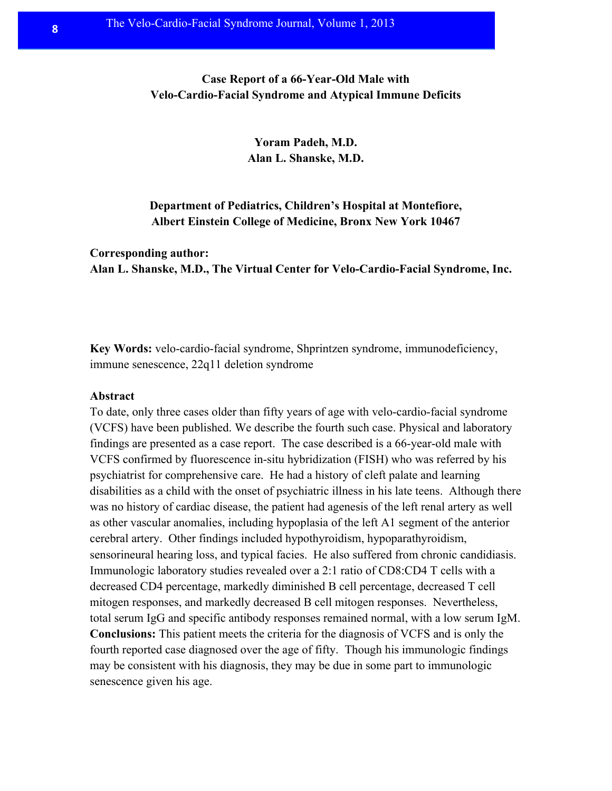# **Case Report of a 66-Year-Old Male with Velo-Cardio-Facial Syndrome and Atypical Immune Deficits**

**Yoram Padeh, M.D. Alan L. Shanske, M.D.**

**Department of Pediatrics, Children's Hospital at Montefiore, Albert Einstein College of Medicine, Bronx New York 10467**

**Corresponding author: Alan L. Shanske, M.D., The Virtual Center for Velo-Cardio-Facial Syndrome, Inc.**

**Key Words:** velo-cardio-facial syndrome, Shprintzen syndrome, immunodeficiency, immune senescence, 22q11 deletion syndrome

#### **Abstract**

To date, only three cases older than fifty years of age with velo-cardio-facial syndrome (VCFS) have been published. We describe the fourth such case. Physical and laboratory findings are presented as a case report. The case described is a 66-year-old male with VCFS confirmed by fluorescence in-situ hybridization (FISH) who was referred by his psychiatrist for comprehensive care. He had a history of cleft palate and learning disabilities as a child with the onset of psychiatric illness in his late teens. Although there was no history of cardiac disease, the patient had agenesis of the left renal artery as well as other vascular anomalies, including hypoplasia of the left A1 segment of the anterior cerebral artery. Other findings included hypothyroidism, hypoparathyroidism, sensorineural hearing loss, and typical facies. He also suffered from chronic candidiasis. Immunologic laboratory studies revealed over a 2:1 ratio of CD8:CD4 T cells with a decreased CD4 percentage, markedly diminished B cell percentage, decreased T cell mitogen responses, and markedly decreased B cell mitogen responses. Nevertheless, total serum IgG and specific antibody responses remained normal, with a low serum IgM. **Conclusions:** This patient meets the criteria for the diagnosis of VCFS and is only the fourth reported case diagnosed over the age of fifty. Though his immunologic findings may be consistent with his diagnosis, they may be due in some part to immunologic senescence given his age.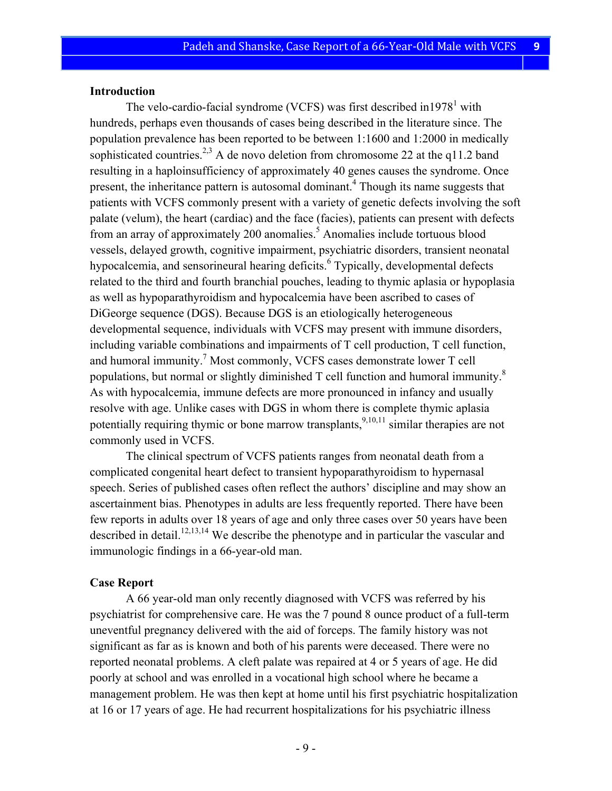#### **Introduction**

The velo-cardio-facial syndrome (VCFS) was first described in 1978<sup>1</sup> with hundreds, perhaps even thousands of cases being described in the literature since. The population prevalence has been reported to be between 1:1600 and 1:2000 in medically sophisticated countries.<sup>2,3</sup> A de novo deletion from chromosome 22 at the q11.2 band resulting in a haploinsufficiency of approximately 40 genes causes the syndrome. Once present, the inheritance pattern is autosomal dominant.<sup>4</sup> Though its name suggests that patients with VCFS commonly present with a variety of genetic defects involving the soft palate (velum), the heart (cardiac) and the face (facies), patients can present with defects from an array of approximately 200 anomalies.<sup>5</sup> Anomalies include tortuous blood vessels, delayed growth, cognitive impairment, psychiatric disorders, transient neonatal hypocalcemia, and sensorineural hearing deficits.<sup>6</sup> Typically, developmental defects related to the third and fourth branchial pouches, leading to thymic aplasia or hypoplasia as well as hypoparathyroidism and hypocalcemia have been ascribed to cases of DiGeorge sequence (DGS). Because DGS is an etiologically heterogeneous developmental sequence, individuals with VCFS may present with immune disorders, including variable combinations and impairments of T cell production, T cell function, and humoral immunity.<sup>7</sup> Most commonly, VCFS cases demonstrate lower  $T$  cell populations, but normal or slightly diminished  $T$  cell function and humoral immunity.<sup>8</sup> As with hypocalcemia, immune defects are more pronounced in infancy and usually resolve with age. Unlike cases with DGS in whom there is complete thymic aplasia potentially requiring thymic or bone marrow transplants,  $9,10,11$  similar therapies are not commonly used in VCFS.

The clinical spectrum of VCFS patients ranges from neonatal death from a complicated congenital heart defect to transient hypoparathyroidism to hypernasal speech. Series of published cases often reflect the authors' discipline and may show an ascertainment bias. Phenotypes in adults are less frequently reported. There have been few reports in adults over 18 years of age and only three cases over 50 years have been described in detail.<sup>12,13,14</sup> We describe the phenotype and in particular the vascular and immunologic findings in a 66-year-old man.

#### **Case Report**

A 66 year-old man only recently diagnosed with VCFS was referred by his psychiatrist for comprehensive care. He was the 7 pound 8 ounce product of a full-term uneventful pregnancy delivered with the aid of forceps. The family history was not significant as far as is known and both of his parents were deceased. There were no reported neonatal problems. A cleft palate was repaired at 4 or 5 years of age. He did poorly at school and was enrolled in a vocational high school where he became a management problem. He was then kept at home until his first psychiatric hospitalization at 16 or 17 years of age. He had recurrent hospitalizations for his psychiatric illness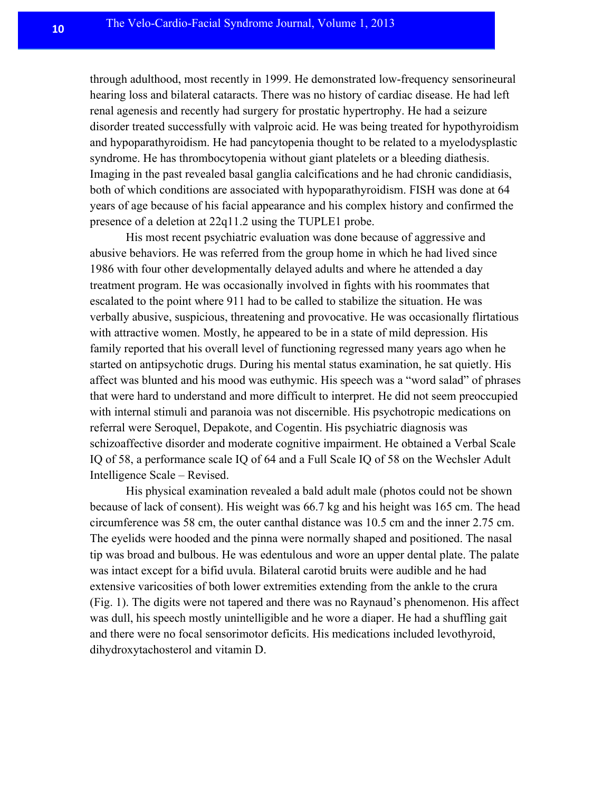through adulthood, most recently in 1999. He demonstrated low-frequency sensorineural hearing loss and bilateral cataracts. There was no history of cardiac disease. He had left renal agenesis and recently had surgery for prostatic hypertrophy. He had a seizure disorder treated successfully with valproic acid. He was being treated for hypothyroidism and hypoparathyroidism. He had pancytopenia thought to be related to a myelodysplastic syndrome. He has thrombocytopenia without giant platelets or a bleeding diathesis. Imaging in the past revealed basal ganglia calcifications and he had chronic candidiasis, both of which conditions are associated with hypoparathyroidism. FISH was done at 64 years of age because of his facial appearance and his complex history and confirmed the presence of a deletion at 22q11.2 using the TUPLE1 probe.

His most recent psychiatric evaluation was done because of aggressive and abusive behaviors. He was referred from the group home in which he had lived since 1986 with four other developmentally delayed adults and where he attended a day treatment program. He was occasionally involved in fights with his roommates that escalated to the point where 911 had to be called to stabilize the situation. He was verbally abusive, suspicious, threatening and provocative. He was occasionally flirtatious with attractive women. Mostly, he appeared to be in a state of mild depression. His family reported that his overall level of functioning regressed many years ago when he started on antipsychotic drugs. During his mental status examination, he sat quietly. His affect was blunted and his mood was euthymic. His speech was a "word salad" of phrases that were hard to understand and more difficult to interpret. He did not seem preoccupied with internal stimuli and paranoia was not discernible. His psychotropic medications on referral were Seroquel, Depakote, and Cogentin. His psychiatric diagnosis was schizoaffective disorder and moderate cognitive impairment. He obtained a Verbal Scale IQ of 58, a performance scale IQ of 64 and a Full Scale IQ of 58 on the Wechsler Adult Intelligence Scale – Revised.

His physical examination revealed a bald adult male (photos could not be shown because of lack of consent). His weight was 66.7 kg and his height was 165 cm. The head circumference was 58 cm, the outer canthal distance was 10.5 cm and the inner 2.75 cm. The eyelids were hooded and the pinna were normally shaped and positioned. The nasal tip was broad and bulbous. He was edentulous and wore an upper dental plate. The palate was intact except for a bifid uvula. Bilateral carotid bruits were audible and he had extensive varicosities of both lower extremities extending from the ankle to the crura (Fig. 1). The digits were not tapered and there was no Raynaud's phenomenon. His affect was dull, his speech mostly unintelligible and he wore a diaper. He had a shuffling gait and there were no focal sensorimotor deficits. His medications included levothyroid, dihydroxytachosterol and vitamin D.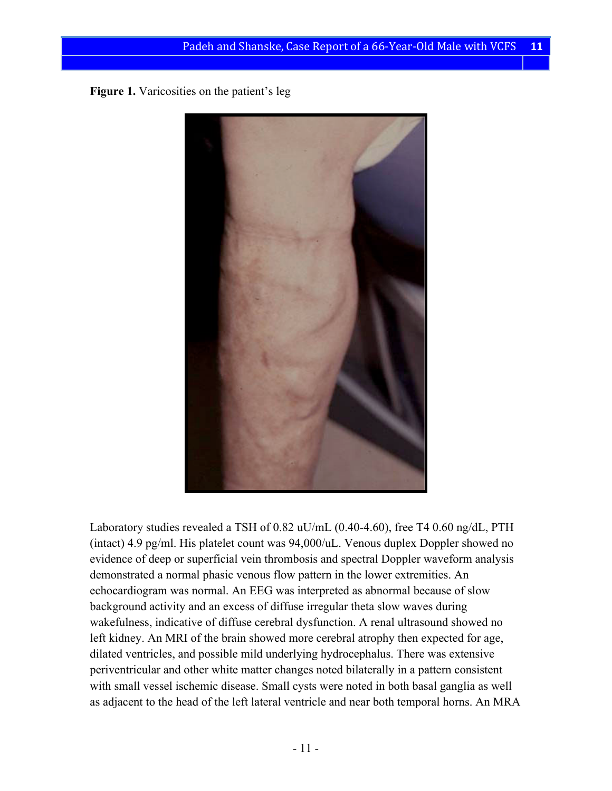**Figure 1.** Varicosities on the patient's leg



Laboratory studies revealed a TSH of 0.82 uU/mL (0.40-4.60), free T4 0.60 ng/dL, PTH (intact) 4.9 pg/ml. His platelet count was 94,000/uL. Venous duplex Doppler showed no evidence of deep or superficial vein thrombosis and spectral Doppler waveform analysis demonstrated a normal phasic venous flow pattern in the lower extremities. An echocardiogram was normal. An EEG was interpreted as abnormal because of slow background activity and an excess of diffuse irregular theta slow waves during wakefulness, indicative of diffuse cerebral dysfunction. A renal ultrasound showed no left kidney. An MRI of the brain showed more cerebral atrophy then expected for age, dilated ventricles, and possible mild underlying hydrocephalus. There was extensive periventricular and other white matter changes noted bilaterally in a pattern consistent with small vessel ischemic disease. Small cysts were noted in both basal ganglia as well as adjacent to the head of the left lateral ventricle and near both temporal horns. An MRA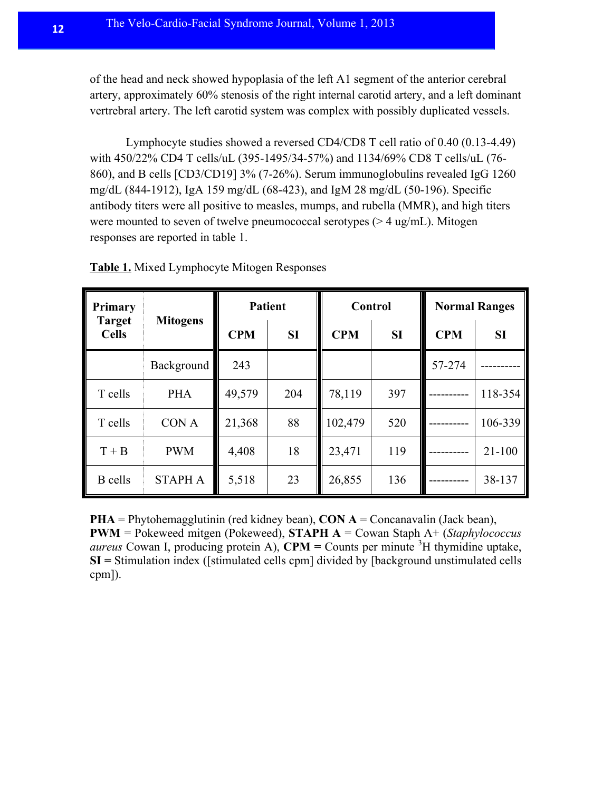of the head and neck showed hypoplasia of the left A1 segment of the anterior cerebral artery, approximately 60% stenosis of the right internal carotid artery, and a left dominant vertrebral artery. The left carotid system was complex with possibly duplicated vessels.

Lymphocyte studies showed a reversed CD4/CD8 T cell ratio of 0.40 (0.13-4.49) with 450/22% CD4 T cells/uL (395-1495/34-57%) and 1134/69% CD8 T cells/uL (76- 860), and B cells [CD3/CD19] 3% (7-26%). Serum immunoglobulins revealed IgG 1260 mg/dL (844-1912), IgA 159 mg/dL (68-423), and IgM 28 mg/dL (50-196). Specific antibody titers were all positive to measles, mumps, and rubella (MMR), and high titers were mounted to seven of twelve pneumococcal serotypes (> 4 ug/mL). Mitogen responses are reported in table 1.

| Primary<br><b>Target</b><br><b>Cells</b> | <b>Mitogens</b>   | <b>Patient</b> |           | <b>Control</b> |     | <b>Normal Ranges</b> |            |
|------------------------------------------|-------------------|----------------|-----------|----------------|-----|----------------------|------------|
|                                          |                   | <b>CPM</b>     | <b>SI</b> | <b>CPM</b>     | SI  | <b>CPM</b>           | <b>SI</b>  |
|                                          | <b>Background</b> | 243            |           |                |     | 57-274               |            |
| T cells                                  | <b>PHA</b>        | 49,579         | 204       | 78,119         | 397 |                      | 118-354    |
| T cells                                  | CON A             | 21,368         | 88        | 102,479        | 520 |                      | 106-339    |
| $T + B$                                  | <b>PWM</b>        | 4,408          | 18        | 23,471         | 119 |                      | $21 - 100$ |
| <b>B</b> cells                           | <b>STAPH A</b>    | 5,518          | 23        | 26,855         | 136 |                      | 38-137     |

**Table 1.** Mixed Lymphocyte Mitogen Responses

**PHA** = Phytohemagglutinin (red kidney bean), **CON A** = Concanavalin (Jack bean), **PWM** = Pokeweed mitgen (Pokeweed), **STAPH A** = Cowan Staph A+ (*Staphylococcus aureus* Cowan I, producing protein A), **CPM** = Counts per minute  ${}^{3}H$  thymidine uptake, **SI =** Stimulation index ([stimulated cells cpm] divided by [background unstimulated cells cpm]).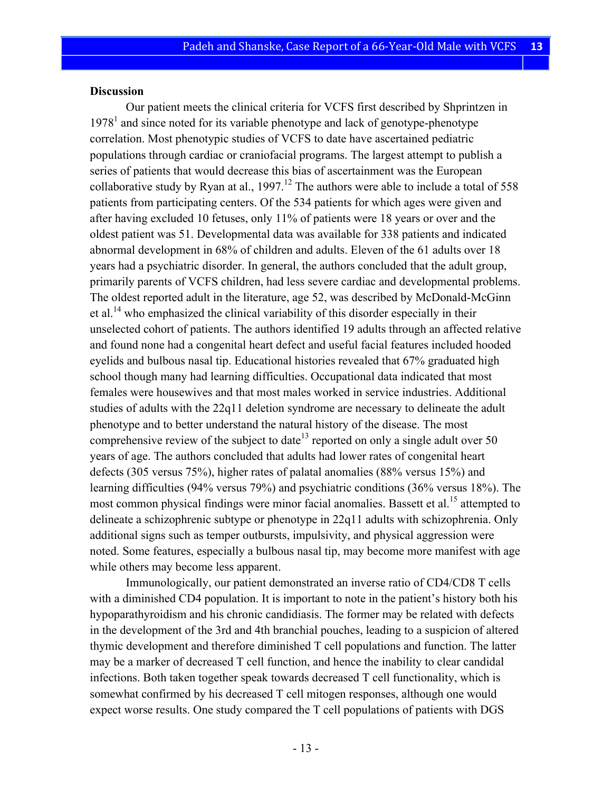#### **Discussion**

Our patient meets the clinical criteria for VCFS first described by Shprintzen in  $1978<sup>1</sup>$  and since noted for its variable phenotype and lack of genotype-phenotype correlation. Most phenotypic studies of VCFS to date have ascertained pediatric populations through cardiac or craniofacial programs. The largest attempt to publish a series of patients that would decrease this bias of ascertainment was the European collaborative study by Ryan at al.,  $1997$ <sup>12</sup>. The authors were able to include a total of 558 patients from participating centers. Of the 534 patients for which ages were given and after having excluded 10 fetuses, only 11% of patients were 18 years or over and the oldest patient was 51. Developmental data was available for 338 patients and indicated abnormal development in 68% of children and adults. Eleven of the 61 adults over 18 years had a psychiatric disorder. In general, the authors concluded that the adult group, primarily parents of VCFS children, had less severe cardiac and developmental problems. The oldest reported adult in the literature, age 52, was described by McDonald-McGinn et al.<sup>14</sup> who emphasized the clinical variability of this disorder especially in their unselected cohort of patients. The authors identified 19 adults through an affected relative and found none had a congenital heart defect and useful facial features included hooded eyelids and bulbous nasal tip. Educational histories revealed that 67% graduated high school though many had learning difficulties. Occupational data indicated that most females were housewives and that most males worked in service industries. Additional studies of adults with the 22q11 deletion syndrome are necessary to delineate the adult phenotype and to better understand the natural history of the disease. The most comprehensive review of the subject to date<sup>13</sup> reported on only a single adult over 50 years of age. The authors concluded that adults had lower rates of congenital heart defects (305 versus 75%), higher rates of palatal anomalies (88% versus 15%) and learning difficulties (94% versus 79%) and psychiatric conditions (36% versus 18%). The most common physical findings were minor facial anomalies. Bassett et al.<sup>15</sup> attempted to delineate a schizophrenic subtype or phenotype in 22q11 adults with schizophrenia. Only additional signs such as temper outbursts, impulsivity, and physical aggression were noted. Some features, especially a bulbous nasal tip, may become more manifest with age while others may become less apparent.

Immunologically, our patient demonstrated an inverse ratio of CD4/CD8 T cells with a diminished CD4 population. It is important to note in the patient's history both his hypoparathyroidism and his chronic candidiasis. The former may be related with defects in the development of the 3rd and 4th branchial pouches, leading to a suspicion of altered thymic development and therefore diminished T cell populations and function. The latter may be a marker of decreased T cell function, and hence the inability to clear candidal infections. Both taken together speak towards decreased T cell functionality, which is somewhat confirmed by his decreased T cell mitogen responses, although one would expect worse results. One study compared the T cell populations of patients with DGS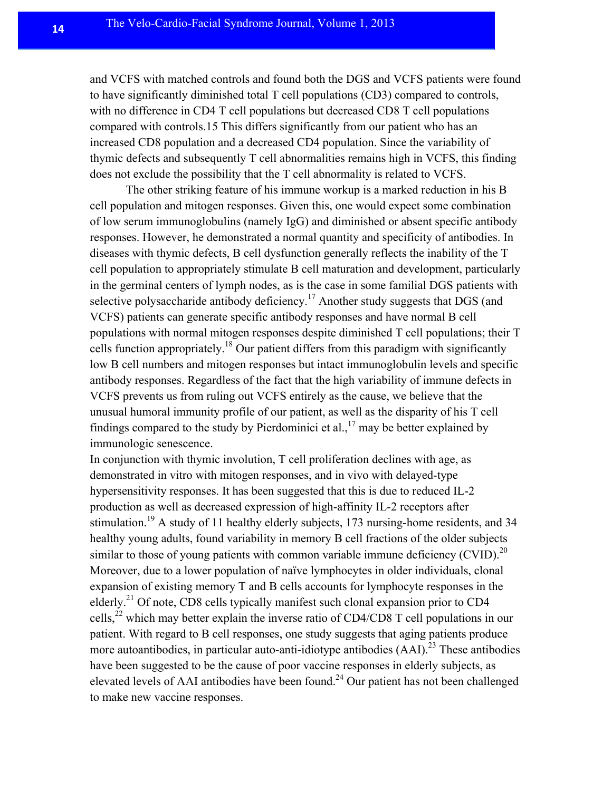and VCFS with matched controls and found both the DGS and VCFS patients were found to have significantly diminished total T cell populations (CD3) compared to controls, with no difference in CD4 T cell populations but decreased CD8 T cell populations compared with controls.15 This differs significantly from our patient who has an increased CD8 population and a decreased CD4 population. Since the variability of thymic defects and subsequently T cell abnormalities remains high in VCFS, this finding does not exclude the possibility that the T cell abnormality is related to VCFS.

The other striking feature of his immune workup is a marked reduction in his B cell population and mitogen responses. Given this, one would expect some combination of low serum immunoglobulins (namely IgG) and diminished or absent specific antibody responses. However, he demonstrated a normal quantity and specificity of antibodies. In diseases with thymic defects, B cell dysfunction generally reflects the inability of the T cell population to appropriately stimulate B cell maturation and development, particularly in the germinal centers of lymph nodes, as is the case in some familial DGS patients with selective polysaccharide antibody deficiency.<sup>17</sup> Another study suggests that DGS (and VCFS) patients can generate specific antibody responses and have normal B cell populations with normal mitogen responses despite diminished T cell populations; their T cells function appropriately.<sup>18</sup> Our patient differs from this paradigm with significantly low B cell numbers and mitogen responses but intact immunoglobulin levels and specific antibody responses. Regardless of the fact that the high variability of immune defects in VCFS prevents us from ruling out VCFS entirely as the cause, we believe that the unusual humoral immunity profile of our patient, as well as the disparity of his T cell findings compared to the study by Pierdominici et al.,  $17$  may be better explained by immunologic senescence.

In conjunction with thymic involution, T cell proliferation declines with age, as demonstrated in vitro with mitogen responses, and in vivo with delayed-type hypersensitivity responses. It has been suggested that this is due to reduced IL-2 production as well as decreased expression of high-affinity IL-2 receptors after stimulation.<sup>19</sup> A study of 11 healthy elderly subjects, 173 nursing-home residents, and 34 healthy young adults, found variability in memory B cell fractions of the older subjects similar to those of young patients with common variable immune deficiency (CVID).<sup>20</sup> Moreover, due to a lower population of naïve lymphocytes in older individuals, clonal expansion of existing memory T and B cells accounts for lymphocyte responses in the elderly.<sup>21</sup> Of note, CD8 cells typically manifest such clonal expansion prior to CD4 cells,<sup>22</sup> which may better explain the inverse ratio of CD4/CD8 T cell populations in our patient. With regard to B cell responses, one study suggests that aging patients produce more autoantibodies, in particular auto-anti-idiotype antibodies  $(AAI)$ <sup>23</sup>. These antibodies have been suggested to be the cause of poor vaccine responses in elderly subjects, as elevated levels of AAI antibodies have been found.<sup>24</sup> Our patient has not been challenged to make new vaccine responses.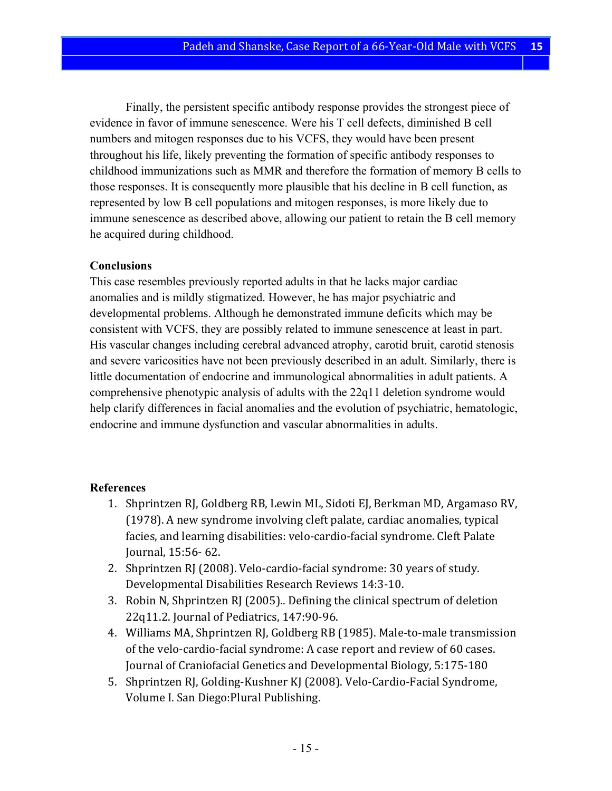Finally, the persistent specific antibody response provides the strongest piece of evidence in favor of immune senescence. Were his T cell defects, diminished B cell numbers and mitogen responses due to his VCFS, they would have been present throughout his life, likely preventing the formation of specific antibody responses to childhood immunizations such as MMR and therefore the formation of memory B cells to those responses. It is consequently more plausible that his decline in B cell function, as represented by low B cell populations and mitogen responses, is more likely due to immune senescence as described above, allowing our patient to retain the B cell memory he acquired during childhood.

## **Conclusions**

This case resembles previously reported adults in that he lacks major cardiac anomalies and is mildly stigmatized. However, he has major psychiatric and developmental problems. Although he demonstrated immune deficits which may be consistent with VCFS, they are possibly related to immune senescence at least in part. His vascular changes including cerebral advanced atrophy, carotid bruit, carotid stenosis and severe varicosities have not been previously described in an adult. Similarly, there is little documentation of endocrine and immunological abnormalities in adult patients. A comprehensive phenotypic analysis of adults with the 22q11 deletion syndrome would help clarify differences in facial anomalies and the evolution of psychiatric, hematologic, endocrine and immune dysfunction and vascular abnormalities in adults.

### **References**

- 1. Shprintzen RJ, Goldberg RB, Lewin ML, Sidoti EJ, Berkman MD, Argamaso RV, (1978). A new syndrome involving cleft palate, cardiac anomalies, typical facies, and learning disabilities: velo-cardio-facial syndrome. Cleft Palate Journal, 15:56- 62.
- 2. Shprintzen RJ (2008). Velo-cardio-facial syndrome: 30 years of study. Developmental Disabilities Research Reviews 14:3-10.
- 3. Robin N, Shprintzen RJ (2005).. Defining the clinical spectrum of deletion 22q11.2. Journal of Pediatrics, 147:90-96.
- 4. Williams MA, Shprintzen RJ, Goldberg RB (1985). Male-to-male transmission of the velo-cardio-facial syndrome: A case report and review of 60 cases. Journal of Craniofacial Genetics and Developmental Biology, 5:175-180
- 5. Shprintzen RJ, Golding-Kushner KJ (2008). Velo-Cardio-Facial Syndrome, Volume I. San Diego: Plural Publishing.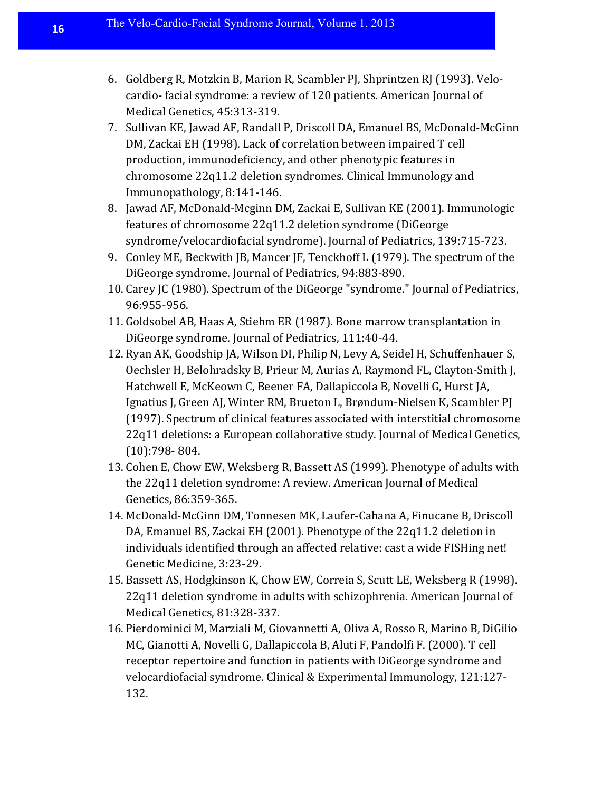- 6. Goldberg R, Motzkin B, Marion R, Scambler PJ, Shprintzen RJ (1993). Velocardio- facial syndrome: a review of 120 patients. American Journal of Medical Genetics, 45:313-319.
- 7. Sullivan KE, Jawad AF, Randall P, Driscoll DA, Emanuel BS, McDonald-McGinn DM, Zackai EH (1998). Lack of correlation between impaired T cell production, immunodeficiency, and other phenotypic features in chromosome 22q11.2 deletion syndromes. Clinical Immunology and Immunopathology, 8:141-146.
- 8. Jawad AF, McDonald-Mcginn DM, Zackai E, Sullivan KE (2001). Immunologic features of chromosome 22q11.2 deletion syndrome (DiGeorge syndrome/velocardiofacial syndrome). Journal of Pediatrics, 139:715-723.
- 9. Conley ME, Beckwith JB, Mancer JF, Tenckhoff L (1979). The spectrum of the DiGeorge syndrome. Journal of Pediatrics, 94:883-890.
- 10. Carey JC (1980). Spectrum of the DiGeorge "syndrome." Journal of Pediatrics, 96:955-956.
- 11. Goldsobel AB, Haas A, Stiehm ER (1987). Bone marrow transplantation in DiGeorge syndrome. Journal of Pediatrics, 111:40-44.
- 12. Ryan AK, Goodship JA, Wilson DI, Philip N, Levy A, Seidel H, Schuffenhauer S, Oechsler H, Belohradsky B, Prieur M, Aurias A, Raymond FL, Clayton-Smith J, Hatchwell E, McKeown C, Beener FA, Dallapiccola B, Novelli G, Hurst JA, Ignatius J, Green AJ, Winter RM, Brueton L, Brøndum-Nielsen K, Scambler PJ (1997). Spectrum of clinical features associated with interstitial chromosome 22q11 deletions: a European collaborative study. Journal of Medical Genetics, (10):798- 804.
- 13. Cohen E, Chow EW, Weksberg R, Bassett AS (1999). Phenotype of adults with the 22q11 deletion syndrome: A review. American Journal of Medical Genetics, 86:359-365.
- 14. McDonald-McGinn DM, Tonnesen MK, Laufer-Cahana A, Finucane B, Driscoll DA, Emanuel BS, Zackai EH (2001). Phenotype of the 22q11.2 deletion in individuals identified through an affected relative: cast a wide FISHing net! Genetic Medicine, 3:23-29.
- 15. Bassett AS, Hodgkinson K, Chow EW, Correia S, Scutt LE, Weksberg R (1998). 22q11 deletion syndrome in adults with schizophrenia. American Journal of Medical Genetics, 81:328-337.
- 16. Pierdominici M, Marziali M, Giovannetti A, Oliva A, Rosso R, Marino B, DiGilio MC, Gianotti A, Novelli G, Dallapiccola B, Aluti F, Pandolfi F. (2000). T cell receptor repertoire and function in patients with DiGeorge syndrome and velocardiofacial syndrome. Clinical & Experimental Immunology,  $121:127$ -132.